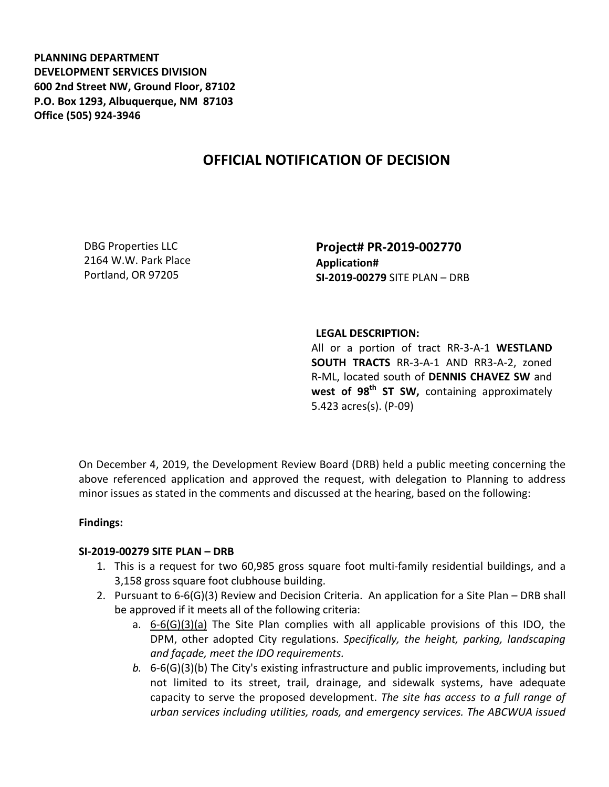**PLANNING DEPARTMENT DEVELOPMENT SERVICES DIVISION 600 2nd Street NW, Ground Floor, 87102 P.O. Box 1293, Albuquerque, NM 87103 Office (505) 924-3946** 

# **OFFICIAL NOTIFICATION OF DECISION**

DBG Properties LLC 2164 W.W. Park Place Portland, OR 97205

**Project# PR-2019-002770 Application# SI-2019-00279** SITE PLAN – DRB

## **LEGAL DESCRIPTION:**

All or a portion of tract RR-3-A-1 **WESTLAND SOUTH TRACTS** RR-3-A-1 AND RR3-A-2, zoned R-ML, located south of **DENNIS CHAVEZ SW** and west of 98<sup>th</sup> ST SW, containing approximately 5.423 acres(s). (P-09)

On December 4, 2019, the Development Review Board (DRB) held a public meeting concerning the above referenced application and approved the request, with delegation to Planning to address minor issues as stated in the comments and discussed at the hearing, based on the following:

## **Findings:**

### **SI-2019-00279 SITE PLAN – DRB**

- 1. This is a request for two 60,985 gross square foot multi-family residential buildings, and a 3,158 gross square foot clubhouse building.
- 2. Pursuant to 6-6(G)(3) Review and Decision Criteria. An application for a Site Plan DRB shall be approved if it meets all of the following criteria:
	- a. 6-6(G)(3)(a) The Site Plan complies with all applicable provisions of this IDO, the DPM, other adopted City regulations. *Specifically, the height, parking, landscaping and façade, meet the IDO requirements.*
	- *b.* 6-6(G)(3)(b) The City's existing infrastructure and public improvements, including but not limited to its street, trail, drainage, and sidewalk systems, have adequate capacity to serve the proposed development. *The site has access to a full range of urban services including utilities, roads, and emergency services. The ABCWUA issued*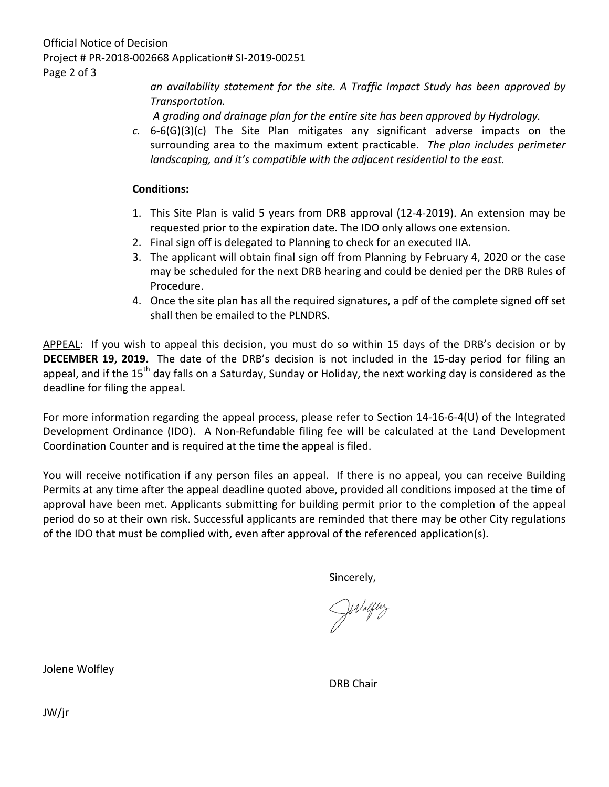*an availability statement for the site. A Traffic Impact Study has been approved by Transportation.*

*A grading and drainage plan for the entire site has been approved by Hydrology.*

*c.* 6-6(G)(3)(c) The Site Plan mitigates any significant adverse impacts on the surrounding area to the maximum extent practicable. *The plan includes perimeter landscaping, and it's compatible with the adjacent residential to the east.* 

## **Conditions:**

- 1. This Site Plan is valid 5 years from DRB approval (12-4-2019). An extension may be requested prior to the expiration date. The IDO only allows one extension.
- 2. Final sign off is delegated to Planning to check for an executed IIA.
- 3. The applicant will obtain final sign off from Planning by February 4, 2020 or the case may be scheduled for the next DRB hearing and could be denied per the DRB Rules of Procedure.
- 4. Once the site plan has all the required signatures, a pdf of the complete signed off set shall then be emailed to the PLNDRS.

APPEAL: If you wish to appeal this decision, you must do so within 15 days of the DRB's decision or by **DECEMBER 19, 2019.** The date of the DRB's decision is not included in the 15-day period for filing an appeal, and if the 15<sup>th</sup> day falls on a Saturday, Sunday or Holiday, the next working day is considered as the deadline for filing the appeal.

For more information regarding the appeal process, please refer to Section 14-16-6-4(U) of the Integrated Development Ordinance (IDO). A Non-Refundable filing fee will be calculated at the Land Development Coordination Counter and is required at the time the appeal is filed.

You will receive notification if any person files an appeal. If there is no appeal, you can receive Building Permits at any time after the appeal deadline quoted above, provided all conditions imposed at the time of approval have been met. Applicants submitting for building permit prior to the completion of the appeal period do so at their own risk. Successful applicants are reminded that there may be other City regulations of the IDO that must be complied with, even after approval of the referenced application(s).

Sincerely,<br> $\mathcal{W}$ *M*<sub>al</sub>ly

Jolene Wolfley

DRB Chair

JW/jr